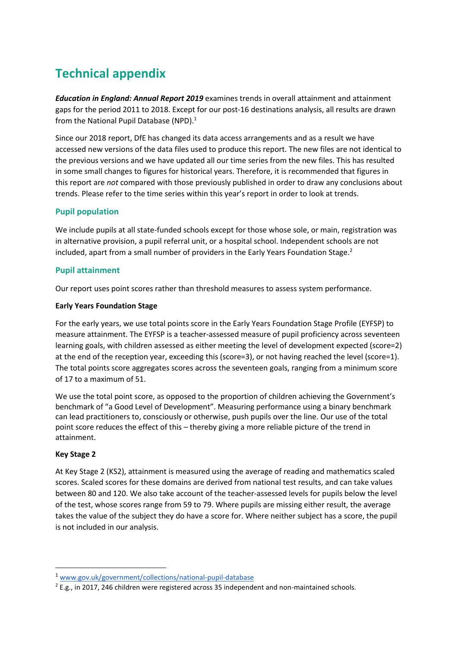# **Technical appendix**

*Education in England: Annual Report 2019* examines trends in overall attainment and attainment gaps for the period 2011 to 2018. Except for our post-16 destinations analysis, all results are drawn from the National Pupil Database (NPD).<sup>1</sup>

Since our 2018 report, DfE has changed its data access arrangements and as a result we have accessed new versions of the data files used to produce this report. The new files are not identical to the previous versions and we have updated all our time series from the new files. This has resulted in some small changes to figures for historical years. Therefore, it is recommended that figures in this report are *not* compared with those previously published in order to draw any conclusions about trends. Please refer to the time series within this year's report in order to look at trends.

# **Pupil population**

We include pupils at all state-funded schools except for those whose sole, or main, registration was in alternative provision, a pupil referral unit, or a hospital school. Independent schools are not included, apart from a small number of providers in the Early Years Foundation Stage. $^2$ 

# **Pupil attainment**

Our report uses point scores rather than threshold measures to assess system performance.

## **Early Years Foundation Stage**

For the early years, we use total points score in the Early Years Foundation Stage Profile (EYFSP) to measure attainment. The EYFSP is a teacher-assessed measure of pupil proficiency across seventeen learning goals, with children assessed as either meeting the level of development expected (score=2) at the end of the reception year, exceeding this (score=3), or not having reached the level (score=1). The total points score aggregates scores across the seventeen goals, ranging from a minimum score of 17 to a maximum of 51.

We use the total point score, as opposed to the proportion of children achieving the Government's benchmark of "a Good Level of Development". Measuring performance using a binary benchmark can lead practitioners to, consciously or otherwise, push pupils over the line. Our use of the total point score reduces the effect of this – thereby giving a more reliable picture of the trend in attainment.

## **Key Stage 2**

1

At Key Stage 2 (KS2), attainment is measured using the average of reading and mathematics scaled scores. Scaled scores for these domains are derived from national test results, and can take values between 80 and 120. We also take account of the teacher-assessed levels for pupils below the level of the test, whose scores range from 59 to 79. Where pupils are missing either result, the average takes the value of the subject they do have a score for. Where neither subject has a score, the pupil is not included in our analysis.

<sup>1</sup> [www.gov.uk/government/collections/national-pupil-database](https://www.gov.uk/government/collections/national-pupil-database)

<sup>&</sup>lt;sup>2</sup> E.g., in 2017, 246 children were registered across 35 independent and non-maintained schools.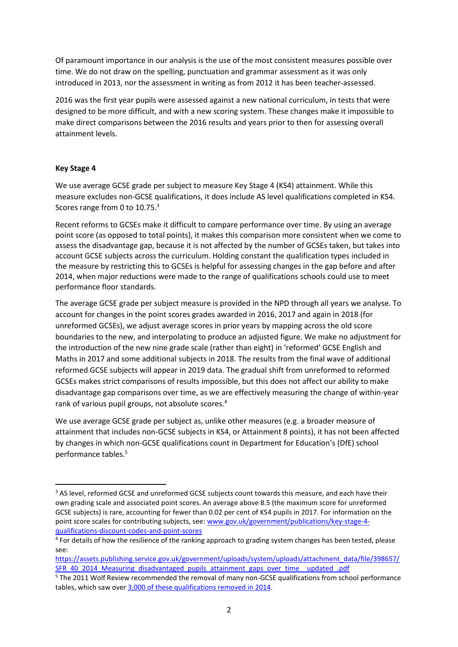Of paramount importance in our analysis is the use of the most consistent measures possible over time. We do not draw on the spelling, punctuation and grammar assessment as it was only introduced in 2013, nor the assessment in writing as from 2012 it has been teacher-assessed.

2016 was the first year pupils were assessed against a new national curriculum, in tests that were designed to be more difficult, and with a new scoring system. These changes make it impossible to make direct comparisons between the 2016 results and years prior to then for assessing overall attainment levels.

#### **Key Stage 4**

1

We use average GCSE grade per subject to measure Key Stage 4 (KS4) attainment. While this measure excludes non-GCSE qualifications, it does include AS level qualifications completed in KS4. Scores range from 0 to 10.75.<sup>3</sup>

Recent reforms to GCSEs make it difficult to compare performance over time. By using an average point score (as opposed to total points), it makes this comparison more consistent when we come to assess the disadvantage gap, because it is not affected by the number of GCSEs taken, but takes into account GCSE subjects across the curriculum. Holding constant the qualification types included in the measure by restricting this to GCSEs is helpful for assessing changes in the gap before and after 2014, when major reductions were made to the range of qualifications schools could use to meet performance floor standards.

The average GCSE grade per subject measure is provided in the NPD through all years we analyse. To account for changes in the point scores grades awarded in 2016, 2017 and again in 2018 (for unreformed GCSEs), we adjust average scores in prior years by mapping across the old score boundaries to the new, and interpolating to produce an adjusted figure. We make no adjustment for the introduction of the new nine grade scale (rather than eight) in 'reformed' GCSE English and Maths in 2017 and some additional subjects in 2018. The results from the final wave of additional reformed GCSE subjects will appear in 2019 data. The gradual shift from unreformed to reformed GCSEs makes strict comparisons of results impossible, but this does not affect our ability to make disadvantage gap comparisons over time, as we are effectively measuring the change of within-year rank of various pupil groups, not absolute scores.<sup>4</sup>

We use average GCSE grade per subject as, unlike other measures (e.g. a broader measure of attainment that includes non-GCSE subjects in KS4, or Attainment 8 points), it has not been affected by changes in which non-GCSE qualifications count in Department for Education's (DfE) school performance tables.<sup>5</sup>

<sup>&</sup>lt;sup>3</sup> AS level, reformed GCSE and unreformed GCSE subjects count towards this measure, and each have their own grading scale and associated point scores. An average above 8.5 (the maximum score for unreformed GCSE subjects) is rare, accounting for fewer than 0.02 per cent of KS4 pupils in 2017. For information on the point score scales for contributing subjects, see: [www.gov.uk/government/publications/key-stage-4](https://www.gov.uk/government/publications/key-stage-4-qualifications-discount-codes-and-point-scores) [qualifications-discount-codes-and-point-scores](https://www.gov.uk/government/publications/key-stage-4-qualifications-discount-codes-and-point-scores)

<sup>&</sup>lt;sup>4</sup> For details of how the resilience of the ranking approach to grading system changes has been tested, please see:

[https://assets.publishing.service.gov.uk/government/uploads/system/uploads/attachment\\_data/file/398657/](https://assets.publishing.service.gov.uk/government/uploads/system/uploads/attachment_data/file/398657/SFR_40_2014_Measuring_disadvantaged_pupils_attainment_gaps_over_time__updated_.pdf) [SFR\\_40\\_2014\\_Measuring\\_disadvantaged\\_pupils\\_attainment\\_gaps\\_over\\_time\\_\\_updated\\_.pdf](https://assets.publishing.service.gov.uk/government/uploads/system/uploads/attachment_data/file/398657/SFR_40_2014_Measuring_disadvantaged_pupils_attainment_gaps_over_time__updated_.pdf)

<sup>5</sup> The 2011 Wolf Review recommended the removal of many non-GCSE qualifications from school performance tables, which saw over [3,000 of these qualifications removed in 2014.](http://www.bbc.co.uk/news/education-16789215)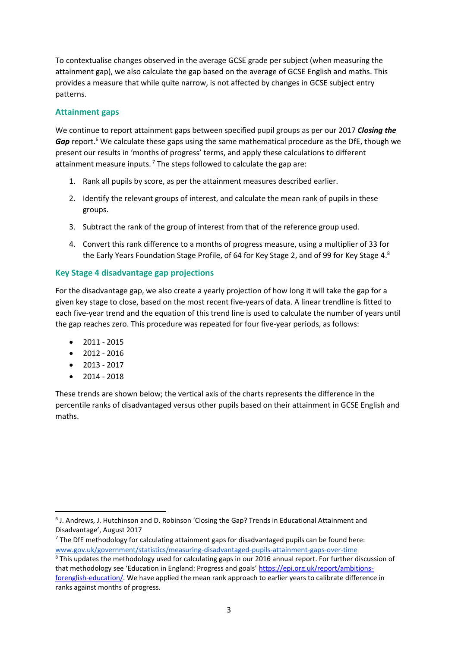To contextualise changes observed in the average GCSE grade per subject (when measuring the attainment gap), we also calculate the gap based on the average of GCSE English and maths. This provides a measure that while quite narrow, is not affected by changes in GCSE subject entry patterns.

## **Attainment gaps**

We continue to report attainment gaps between specified pupil groups as per our 2017 *Closing the*  Gap report.<sup>6</sup> We calculate these gaps using the same mathematical procedure as the DfE, though we present our results in 'months of progress' terms, and apply these calculations to different attainment measure inputs.<sup>7</sup> The steps followed to calculate the gap are:

- 1. Rank all pupils by score, as per the attainment measures described earlier.
- 2. Identify the relevant groups of interest, and calculate the mean rank of pupils in these groups.
- 3. Subtract the rank of the group of interest from that of the reference group used.
- 4. Convert this rank difference to a months of progress measure, using a multiplier of 33 for the Early Years Foundation Stage Profile, of 64 for Key Stage 2, and of 99 for Key Stage 4.<sup>8</sup>

## **Key Stage 4 disadvantage gap projections**

For the disadvantage gap, we also create a yearly projection of how long it will take the gap for a given key stage to close, based on the most recent five-years of data. A linear trendline is fitted to each five-year trend and the equation of this trend line is used to calculate the number of years until the gap reaches zero. This procedure was repeated for four five-year periods, as follows:

- $2011 2015$
- $2012 2016$
- 2013 2017
- 2014 2018

**.** 

These trends are shown below; the vertical axis of the charts represents the difference in the percentile ranks of disadvantaged versus other pupils based on their attainment in GCSE English and maths.

<sup>6</sup> J. Andrews, J. Hutchinson and D. Robinson 'Closing the Gap? Trends in Educational Attainment and Disadvantage', August 2017

 $7$  The DfE methodology for calculating attainment gaps for disadvantaged pupils can be found here: [www.gov.uk/government/statistics/measuring-disadvantaged-pupils-attainment-gaps-over-time](https://www.gov.uk/government/statistics/measuring-disadvantaged-pupils-attainment-gaps-over-time)

<sup>&</sup>lt;sup>8</sup> This updates the methodology used for calculating gaps in our 2016 annual report. For further discussion of that methodology see 'Education in England: Progress and goals' [https://epi.org.uk/report/ambitions](https://epi.org.uk/report/ambitions-forenglish-education/)[forenglish-education/.](https://epi.org.uk/report/ambitions-forenglish-education/) We have applied the mean rank approach to earlier years to calibrate difference in ranks against months of progress.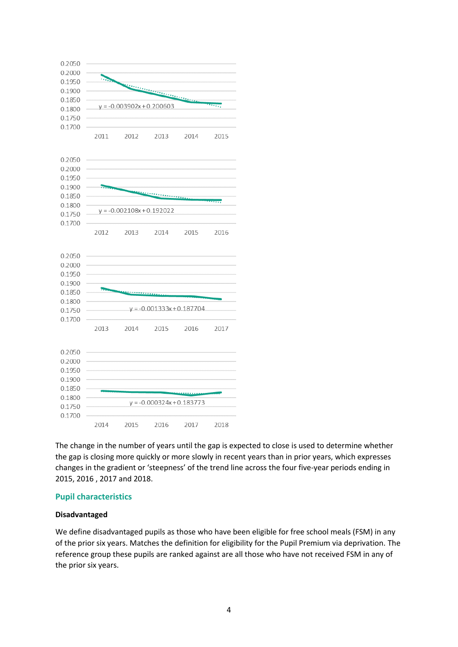

The change in the number of years until the gap is expected to close is used to determine whether the gap is closing more quickly or more slowly in recent years than in prior years, which expresses changes in the gradient or 'steepness' of the trend line across the four five-year periods ending in 2015, 2016 , 2017 and 2018.

#### **Pupil characteristics**

## **Disadvantaged**

We define disadvantaged pupils as those who have been eligible for free school meals (FSM) in any of the prior six years. Matches the definition for eligibility for the Pupil Premium via deprivation. The reference group these pupils are ranked against are all those who have not received FSM in any of the prior six years.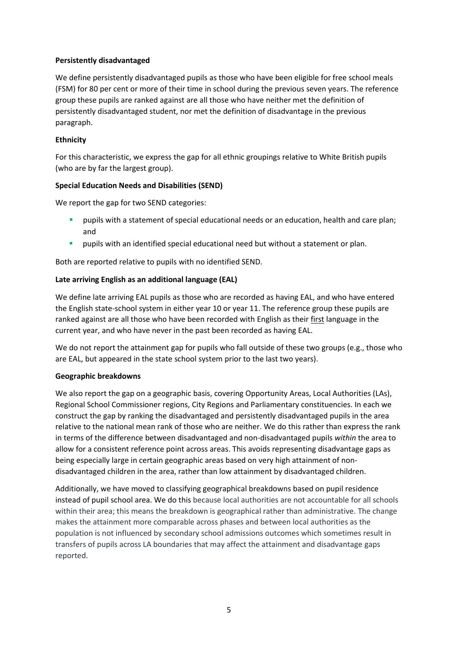### **Persistently disadvantaged**

We define persistently disadvantaged pupils as those who have been eligible for free school meals (FSM) for 80 per cent or more of their time in school during the previous seven years. The reference group these pupils are ranked against are all those who have neither met the definition of persistently disadvantaged student, nor met the definition of disadvantage in the previous paragraph.

## **Ethnicity**

For this characteristic, we express the gap for all ethnic groupings relative to White British pupils (who are by far the largest group).

#### **Special Education Needs and Disabilities (SEND)**

We report the gap for two SEND categories:

- pupils with a statement of special educational needs or an education, health and care plan; and
- **E** pupils with an identified special educational need but without a statement or plan.

Both are reported relative to pupils with no identified SEND.

## **Late arriving English as an additional language (EAL)**

We define late arriving EAL pupils as those who are recorded as having EAL, and who have entered the English state-school system in either year 10 or year 11. The reference group these pupils are ranked against are all those who have been recorded with English as their first language in the current year, and who have never in the past been recorded as having EAL.

We do not report the attainment gap for pupils who fall outside of these two groups (e.g., those who are EAL, but appeared in the state school system prior to the last two years).

#### **Geographic breakdowns**

We also report the gap on a geographic basis, covering Opportunity Areas, Local Authorities (LAs), Regional School Commissioner regions, City Regions and Parliamentary constituencies. In each we construct the gap by ranking the disadvantaged and persistently disadvantaged pupils in the area relative to the national mean rank of those who are neither. We do this rather than express the rank in terms of the difference between disadvantaged and non-disadvantaged pupils *within* the area to allow for a consistent reference point across areas. This avoids representing disadvantage gaps as being especially large in certain geographic areas based on very high attainment of nondisadvantaged children in the area, rather than low attainment by disadvantaged children.

Additionally, we have moved to classifying geographical breakdowns based on pupil residence instead of pupil school area. We do this because local authorities are not accountable for all schools within their area; this means the breakdown is geographical rather than administrative. The change makes the attainment more comparable across phases and between local authorities as the population is not influenced by secondary school admissions outcomes which sometimes result in transfers of pupils across LA boundaries that may affect the attainment and disadvantage gaps reported.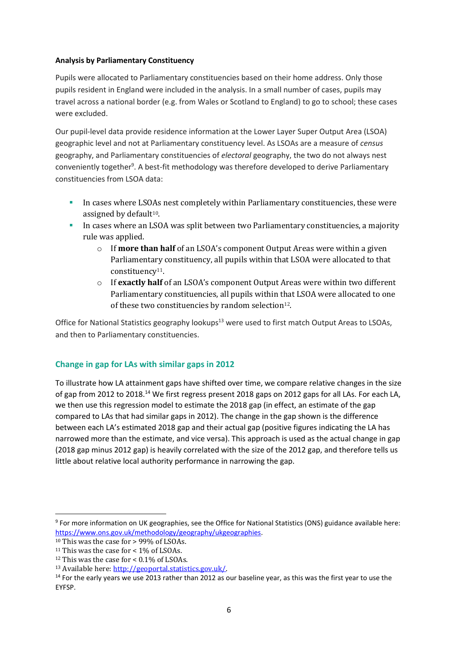#### **Analysis by Parliamentary Constituency**

Pupils were allocated to Parliamentary constituencies based on their home address. Only those pupils resident in England were included in the analysis. In a small number of cases, pupils may travel across a national border (e.g. from Wales or Scotland to England) to go to school; these cases were excluded.

Our pupil-level data provide residence information at the Lower Layer Super Output Area (LSOA) geographic level and not at Parliamentary constituency level. As LSOAs are a measure of *census* geography, and Parliamentary constituencies of *electoral* geography, the two do not always nest conveniently together<sup>9</sup>. A best-fit methodology was therefore developed to derive Parliamentary constituencies from LSOA data:

- **In cases where LSOAs nest completely within Parliamentary constituencies, these were** assigned by default $10$ .
- In cases where an LSOA was split between two Parliamentary constituencies, a majority rule was applied.
	- o If **more than half** of an LSOA's component Output Areas were within a given Parliamentary constituency, all pupils within that LSOA were allocated to that constituency11.
	- o If **exactly half** of an LSOA's component Output Areas were within two different Parliamentary constituencies, all pupils within that LSOA were allocated to one of these two constituencies by random selection<sup>12</sup>.

Office for National Statistics geography lookups<sup>13</sup> were used to first match Output Areas to LSOAs, and then to Parliamentary constituencies.

# **Change in gap for LAs with similar gaps in 2012**

To illustrate how LA attainment gaps have shifted over time, we compare relative changes in the size of gap from 2012 to 2018.<sup>14</sup> We first regress present 2018 gaps on 2012 gaps for all LAs. For each LA, we then use this regression model to estimate the 2018 gap (in effect, an estimate of the gap compared to LAs that had similar gaps in 2012). The change in the gap shown is the difference between each LA's estimated 2018 gap and their actual gap (positive figures indicating the LA has narrowed more than the estimate, and vice versa). This approach is used as the actual change in gap (2018 gap minus 2012 gap) is heavily correlated with the size of the 2012 gap, and therefore tells us little about relative local authority performance in narrowing the gap.

1

<sup>9</sup> For more information on UK geographies, see the Office for National Statistics (ONS) guidance available here: [https://www.ons.gov.uk/methodology/geography/ukgeographies.](https://www.ons.gov.uk/methodology/geography/ukgeographies)

<sup>&</sup>lt;sup>10</sup> This was the case for > 99% of LSOAs.

<sup>&</sup>lt;sup>11</sup> This was the case for  $<$  1% of LSOAs.

<sup>&</sup>lt;sup>12</sup> This was the case for <  $0.1\%$  of LSOAs.

<sup>13</sup> Available here[: http://geoportal.statistics.gov.uk/.](http://geoportal.statistics.gov.uk/)

<sup>&</sup>lt;sup>14</sup> For the early years we use 2013 rather than 2012 as our baseline year, as this was the first year to use the EYFSP.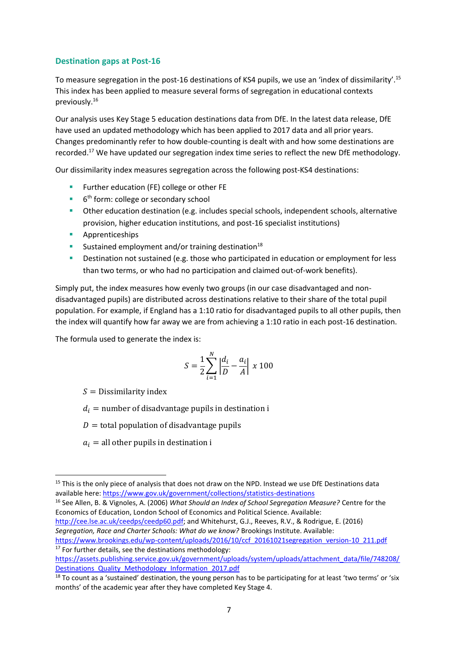## **Destination gaps at Post-16**

To measure segregation in the post-16 destinations of KS4 pupils, we use an 'index of dissimilarity'.<sup>15</sup> This index has been applied to measure several forms of segregation in educational contexts previously.<sup>16</sup>

Our analysis uses Key Stage 5 education destinations data from DfE. In the latest data release, DfE have used an updated methodology which has been applied to 2017 data and all prior years. Changes predominantly refer to how double-counting is dealt with and how some destinations are recorded.<sup>17</sup> We have updated our segregation index time series to reflect the new DfE methodology.

Our dissimilarity index measures segregation across the following post-KS4 destinations:

- Further education (FE) college or other FE
- 6<sup>th</sup> form: college or secondary school
- **•** Other education destination (e.g. includes special schools, independent schools, alternative provision, higher education institutions, and post-16 specialist institutions)
- Apprenticeships
- **E** Sustained employment and/or training destination<sup>18</sup>
- Destination not sustained (e.g. those who participated in education or employment for less than two terms, or who had no participation and claimed out-of-work benefits).

Simply put, the index measures how evenly two groups (in our case disadvantaged and nondisadvantaged pupils) are distributed across destinations relative to their share of the total pupil population. For example, if England has a 1:10 ratio for disadvantaged pupils to all other pupils, then the index will quantify how far away we are from achieving a 1:10 ratio in each post-16 destination.

The formula used to generate the index is:

$$
S = \frac{1}{2} \sum_{i=1}^{N} \left| \frac{d_i}{D} - \frac{a_i}{A} \right| \ge 100
$$

 $S =$  Dissimilarity index

 $d_i$  = number of disadvantage pupils in destination i

 $D =$  total population of disadvantage pupils

 $a_i$  = all other pupils in destination i

<sup>16</sup> See Allen, B. & Vignoles, A. (2006) *What Should an Index of School Segregation Measure?* Centre for the Economics of Education, London School of Economics and Political Science. Available:

[http://cee.lse.ac.uk/ceedps/ceedp60.pdf;](http://cee.lse.ac.uk/ceedps/ceedp60.pdf) and Whitehurst, G.J., Reeves, R.V., & Rodrigue, E. (2016) *Segregation, Race and Charter Schools: What do we know?* Brookings Institute. Available:

[https://www.brookings.edu/wp-content/uploads/2016/10/ccf\\_20161021segregation\\_version-10\\_211.pdf](https://www.brookings.edu/wp-content/uploads/2016/10/ccf_20161021segregation_version-10_211.pdf)  $17$  For further details, see the destinations methodology:

**<sup>.</sup>** <sup>15</sup> This is the only piece of analysis that does not draw on the NPD. Instead we use DfE Destinations data available here:<https://www.gov.uk/government/collections/statistics-destinations>

[https://assets.publishing.service.gov.uk/government/uploads/system/uploads/attachment\\_data/file/748208/](https://assets.publishing.service.gov.uk/government/uploads/system/uploads/attachment_data/file/748208/Destinations_Quality_Methodology_Information_2017.pdf) [Destinations\\_Quality\\_Methodology\\_Information\\_2017.pdf](https://assets.publishing.service.gov.uk/government/uploads/system/uploads/attachment_data/file/748208/Destinations_Quality_Methodology_Information_2017.pdf)

 $18$  To count as a 'sustained' destination, the young person has to be participating for at least 'two terms' or 'six months' of the academic year after they have completed Key Stage 4.